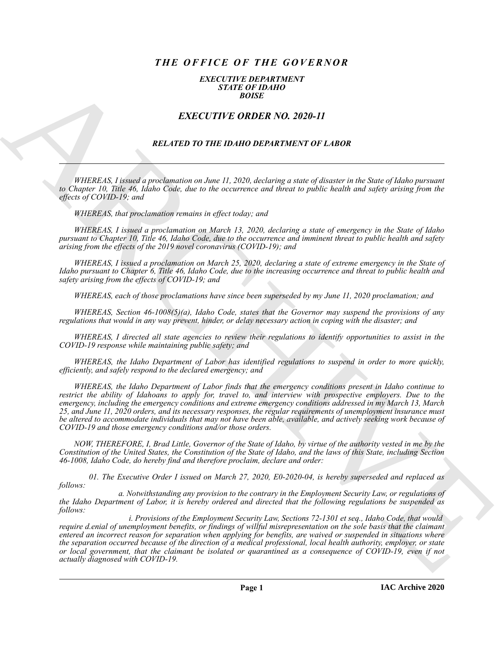# *THE OFFICE OF THE GOVERNOR*

## *EXECUTIVE DEPARTMENT STATE OF IDAHO BOISE*

# *EXECUTIVE ORDER NO. 2020-11*

# *RELATED TO THE IDAHO DEPARTMENT OF LABOR*

*WHEREAS, I issued a proclamation on June 11, 2020, declaring a state of disaster in the State of Idaho pursuant to Chapter 10, Title 46, Idaho Code, due to the occurrence and threat to public health and safety arising from the effects of COVID-19; and*

*WHEREAS, that proclamation remains in effect today; and*

*WHEREAS, I issued a proclamation on March 13, 2020, declaring a state of emergency in the State of Idaho pursuant to Chapter 10, Title 46, Idaho Code, due to the occurrence and imminent threat to public health and safety arising from the effects of the 2019 novel coronavirus (COVID-19); and*

*WHEREAS, I issued a proclamation on March 25, 2020, declaring a state of extreme emergency in the State of Idaho pursuant to Chapter 6, Title 46, Idaho Code, due to the increasing occurrence and threat to public health and safety arising from the effects of COVID-19; and*

*WHEREAS, each of those proclamations have since been superseded by my June 11, 2020 proclamation; and*

*WHEREAS, Section 46-1008(5)(a), Idaho Code, states that the Governor may suspend the provisions of any regulations that would in any way prevent, hinder, or delay necessary action in coping with the disaster; and*

*WHEREAS, I directed all state agencies to review their regulations to identify opportunities to assist in the COVID-19 response while maintaining public safety; and*

*WHEREAS, the Idaho Department of Labor has identified regulations to suspend in order to more quickly, efficiently, and safely respond to the declared emergency; and*

**EXACT THE ORDER NO. 2020-11**<br> **EXACT THE ORDER NO. 2020-11**<br> **EXACT THE ORDER NO. 2020-11**<br> **EXACT THE ORDER NO. 2020-11**<br> **EXACT THE ORDER NO. 2020-11**<br> **EXACT THE ORDER NO. 2020-11**<br> **EXACT THE ORDER NO. 2020-11**<br> **EXA** *WHEREAS, the Idaho Department of Labor finds that the emergency conditions present in Idaho continue to restrict the ability of Idahoans to apply for, travel to, and interview with prospective employers. Due to the emergency, including the emergency conditions and extreme emergency conditions addressed in my March 13, March 25, and June 11, 2020 orders, and its necessary responses, the regular requirements of unemployment insurance must be altered to accommodate individuals that may not have been able, available, and actively seeking work because of COVID-19 and those emergency conditions and/or those orders.*

*NOW, THEREFORE, I, Brad Little, Governor of the State of Idaho, by virtue of the authority vested in me by the Constitution of the United States, the Constitution of the State of Idaho, and the laws of this State, including Section 46-1008, Idaho Code, do hereby find and therefore proclaim, declare and order:*

*01. The Executive Order I issued on March 27, 2020, E0-2020-04, is hereby superseded and replaced as follows:*

*a. Notwithstanding any provision to the contrary in the Employment Security Law, or regulations of the Idaho Department of Labor, it is hereby ordered and directed that the following regulations be suspended as follows:*

*i. Provisions of the Employment Security Law, Sections 72-1301 et seq., Idaho Code, that would require d.enial of unemployment benefits, or findings of willful misrepresentation on the sole basis that the claimant entered an incorrect reason for separation when applying for benefits, are waived or suspended in situations where the separation occurred because of the direction of a medical professional, local health authority, employer, or state or local government, that the claimant be isolated or quarantined as a consequence of COVID-19, even if not actually diagnosed with COVID-19.*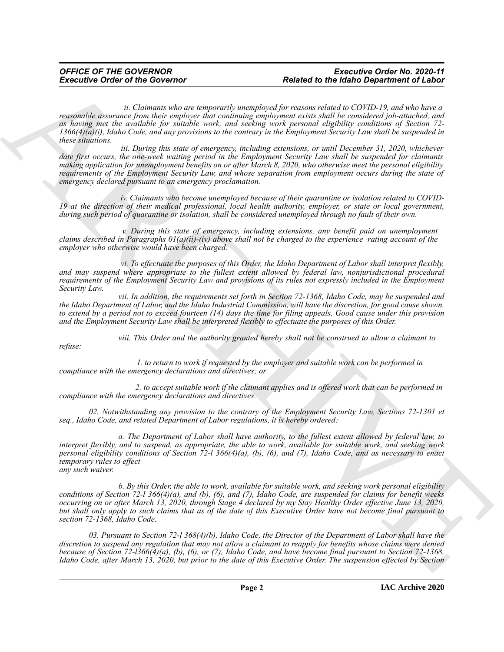## *OFFICE OF THE GOVERNOR Executive Order No. 2020-11 Executive Order of the Governor Related to the Idaho Department of Labor*

*ii. Claimants who are temporarily unemployed for reasons related to COVID-19, and who have a reasonable assurance from their employer that continuing employment exists shall be considered job-attached, and as having met the available for suitable work, and seeking work personal eligibility conditions of Section 72- 1366(4)(a)(i), Idaho Code, and any provisions to the contrary in the Employment Security Law shall be suspended in these situations.*

Executive Order of the Governor<br>
Robert to the European School of the Conservation procession in the state of the Conservation of Conservation in the Conservation of Conservation in the Conservation of Conservation in the  *iii. During this state of emergency, including extensions, or until December 31, 2020, whichever date first occurs, the one-week waiting period in the Employment Security Law shall be suspended for claimants making application for unemployment benefits on or after March 8, 2020, who otherwise meet the personal eligibility requirements of the Employment Security Law, and whose separation from employment occurs during the state of emergency declared pursuant to an emergency proclamation.*

 *iv. Claimants who become unemployed because of their quarantine or isolation related to COVID-19 at the direction of their medical professional, local health authority, employer, or state or local government, during such period of quarantine or isolation, shall be considered unemployed through no fault of their own.*

 *v. During this state of emergency, including extensions, any benefit paid on unemployment claims described in Paragraphs 01(a)(ii)-(iv) above shall not be charged to the experience ·rating account of the employer who otherwise would have been charged.*

 *vi. To effectuate the purposes of this Order, the Idaho Department of Labor shall interpret flexibly, and may suspend where appropriate to the fullest extent allowed by federal law, nonjurisdictional procedural requirements of the Employment Security Law and provisions of its rules not expressly included in the Employment Security Law.*

*vii. In addition, the requirements set forth in Section 72-1368, Idaho Code, may be suspended and the Idaho Department of Labor, and the Idaho Industrial Commission, will have the discretion, for good cause shown, to extend by a period not to exceed fourteen (14) days the time for filing appeals. Good cause under this provision and the Employment Security Law shall be interpreted flexibly to effectuate the purposes of this Order.*

*viii. This Order and the authority granted hereby shall not be construed to allow a claimant to*

*refuse:*

*1. to return to work if requested by the employer and suitable work can be performed in compliance with the emergency declarations and directives; or*

*2. to accept suitable work if the claimant applies and is offered work that can be performed in compliance with the emergency declarations and directives.*

*02. Notwithstanding any provision to the contrary of the Employment Security Law, Sections 72-1301 et seq., Idaho Code, and related Department of Labor regulations, it is hereby ordered:*

*a. The Department of Labor shall have authority, to the fullest extent allowed by federal law, to interpret flexibly, and to suspend, as appropriate, the able to work, available for suitable work, and seeking work personal eligibility conditions of Section 72-l 366(4)(a), (b), (6), and (7), Idaho Code, and as necessary to enact temporary rules to effect any such waiver.*

*b. By this Order, the able to work, available for suitable work, and seeking work personal eligibility conditions of Section 72-l 366(4)(a), and (b), (6), and (7), Idaho Code, are suspended for claims for benefit weeks occurring on or after March 13, 2020, through Stage 4 declared by my Stay Healthy Order effective June 13, 2020, but shall only apply to such claims that as of the date of this Executive Order have not become final pursuant to section 72-1368, Idaho Code.*

*03. Pursuant to Section 72-l 368(4)(b), Idaho Code, the Director of the Department of Labor shall have the discretion to suspend any regulation that may not allow a claimant to reapply for benefits whose claims were denied because of Section 72-l366(4)(a), (b), (6), or (7), Idaho Code, and have become final pursuant to Section 72-1368, Idaho Code, after March 13, 2020, but prior to the date of this Executive Order. The suspension effected by Section*